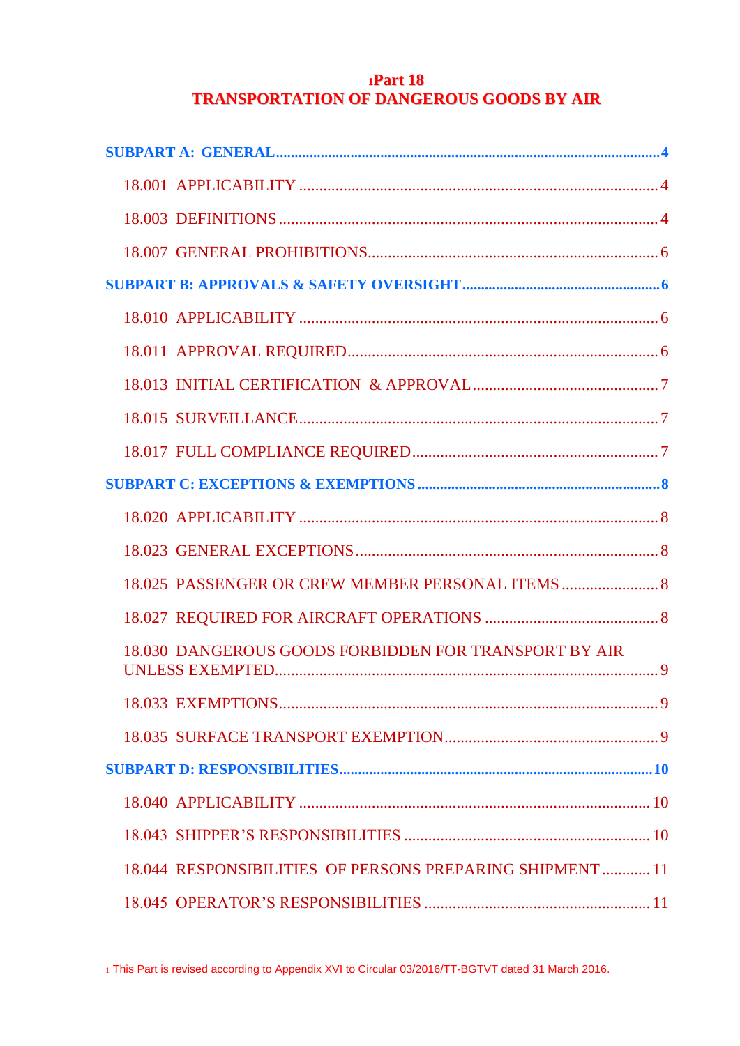# **<sup>1</sup>Part 18 TRANSPORTATION OF DANGEROUS GOODS BY AIR**

| 18.025 PASSENGER OR CREW MEMBER PERSONAL ITEMS            |
|-----------------------------------------------------------|
|                                                           |
| 18.030 DANGEROUS GOODS FORBIDDEN FOR TRANSPORT BY AIR     |
|                                                           |
|                                                           |
|                                                           |
|                                                           |
|                                                           |
| 18.044 RESPONSIBILITIES OF PERSONS PREPARING SHIPMENT  11 |
|                                                           |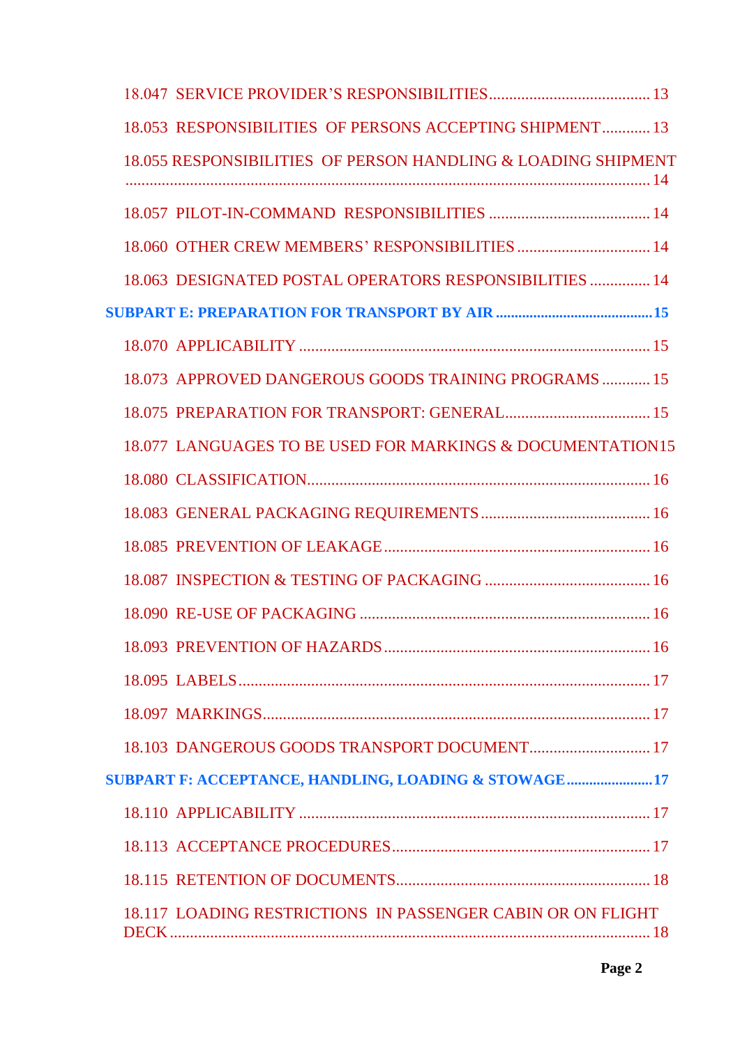| 18.053 RESPONSIBILITIES OF PERSONS ACCEPTING SHIPMENT 13      |  |
|---------------------------------------------------------------|--|
| 18.055 RESPONSIBILITIES OF PERSON HANDLING & LOADING SHIPMENT |  |
|                                                               |  |
|                                                               |  |
| 18.063 DESIGNATED POSTAL OPERATORS RESPONSIBILITIES  14       |  |
|                                                               |  |
|                                                               |  |
| 18.073 APPROVED DANGEROUS GOODS TRAINING PROGRAMS  15         |  |
|                                                               |  |
| 18.077 LANGUAGES TO BE USED FOR MARKINGS & DOCUMENTATION15    |  |
|                                                               |  |
|                                                               |  |
|                                                               |  |
|                                                               |  |
|                                                               |  |
|                                                               |  |
|                                                               |  |
|                                                               |  |
|                                                               |  |
| SUBPART F: ACCEPTANCE, HANDLING, LOADING & STOWAGE17          |  |
|                                                               |  |
|                                                               |  |
|                                                               |  |
| 18.117 LOADING RESTRICTIONS IN PASSENGER CABIN OR ON FLIGHT   |  |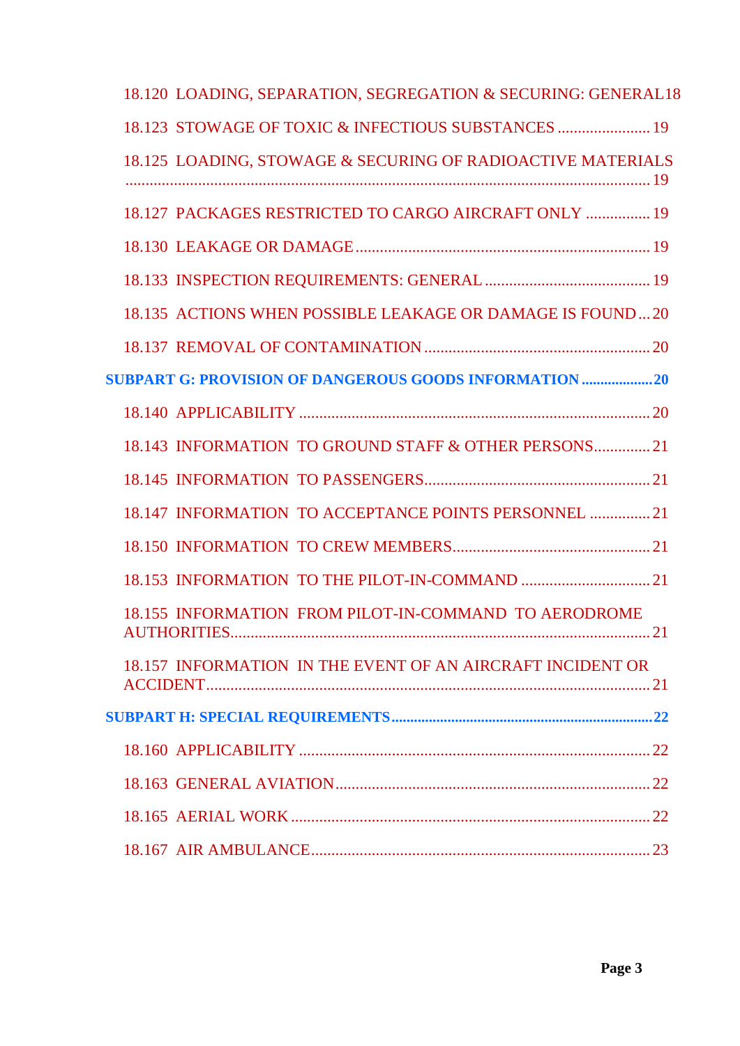|  | 18.120 LOADING, SEPARATION, SEGREGATION & SECURING: GENERAL18 |  |
|--|---------------------------------------------------------------|--|
|  | 18.123 STOWAGE OF TOXIC & INFECTIOUS SUBSTANCES  19           |  |
|  | 18.125 LOADING, STOWAGE & SECURING OF RADIOACTIVE MATERIALS   |  |
|  | 18.127 PACKAGES RESTRICTED TO CARGO AIRCRAFT ONLY  19         |  |
|  |                                                               |  |
|  |                                                               |  |
|  | 18.135 ACTIONS WHEN POSSIBLE LEAKAGE OR DAMAGE IS FOUND20     |  |
|  |                                                               |  |
|  | <b>SUBPART G: PROVISION OF DANGEROUS GOODS INFORMATION 20</b> |  |
|  |                                                               |  |
|  | 18.143 INFORMATION TO GROUND STAFF & OTHER PERSONS21          |  |
|  |                                                               |  |
|  | 18.147 INFORMATION TO ACCEPTANCE POINTS PERSONNEL  21         |  |
|  |                                                               |  |
|  |                                                               |  |
|  | 18.155 INFORMATION FROM PILOT-IN-COMMAND TO AERODROME         |  |
|  | 18.157 INFORMATION IN THE EVENT OF AN AIRCRAFT INCIDENT OR    |  |
|  |                                                               |  |
|  |                                                               |  |
|  |                                                               |  |
|  |                                                               |  |
|  |                                                               |  |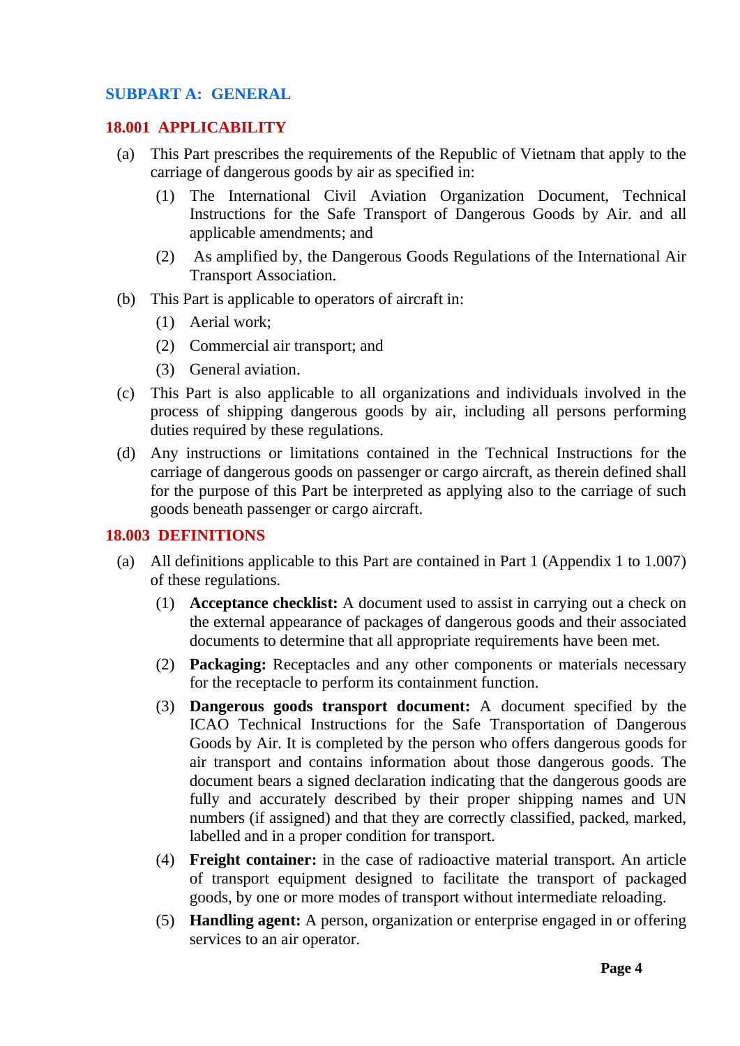## <span id="page-3-0"></span>**SUBPART A: GENERAL**

#### <span id="page-3-1"></span>**18.001 APPLICABILITY**

- (a) This Part prescribes the requirements of the Republic of Vietnam that apply to the carriage of dangerous goods by air as specified in:
	- (1) The International Civil Aviation Organization Document, Technical Instructions for the Safe Transport of Dangerous Goods by Air. and all applicable amendments; and
	- (2) As amplified by, the Dangerous Goods Regulations of the International Air Transport Association.
- (b) This Part is applicable to operators of aircraft in:
	- (1) Aerial work;
	- (2) Commercial air transport; and
	- (3) General aviation.
- (c) This Part is also applicable to all organizations and individuals involved in the process of shipping dangerous goods by air, including all persons performing duties required by these regulations.
- (d) Any instructions or limitations contained in the Technical Instructions for the carriage of dangerous goods on passenger or cargo aircraft, as therein defined shall for the purpose of this Part be interpreted as applying also to the carriage of such goods beneath passenger or cargo aircraft.

#### <span id="page-3-2"></span>**18.003 DEFINITIONS**

- (a) All definitions applicable to this Part are contained in Part 1 (Appendix 1 to 1.007) of these regulations.
	- (1) **Acceptance checklist:** A document used to assist in carrying out a check on the external appearance of packages of dangerous goods and their associated documents to determine that all appropriate requirements have been met.
	- (2) **Packaging:** Receptacles and any other components or materials necessary for the receptacle to perform its containment function.
	- (3) **Dangerous goods transport document:** A document specified by the ICAO Technical Instructions for the Safe Transportation of Dangerous Goods by Air. It is completed by the person who offers dangerous goods for air transport and contains information about those dangerous goods. The document bears a signed declaration indicating that the dangerous goods are fully and accurately described by their proper shipping names and UN numbers (if assigned) and that they are correctly classified, packed, marked, labelled and in a proper condition for transport.
	- (4) **Freight container:** in the case of radioactive material transport. An article of transport equipment designed to facilitate the transport of packaged goods, by one or more modes of transport without intermediate reloading.
	- (5) **Handling agent:** A person, organization or enterprise engaged in or offering services to an air operator.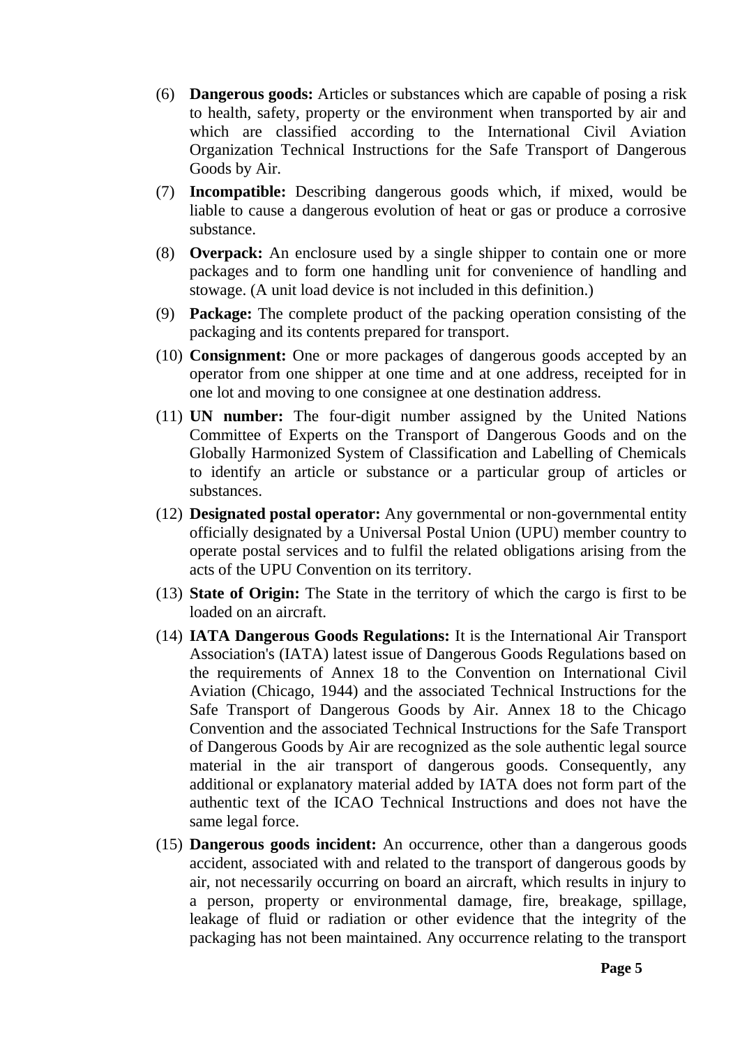- (6) **Dangerous goods:** Articles or substances which are capable of posing a risk to health, safety, property or the environment when transported by air and which are classified according to the International Civil Aviation Organization Technical Instructions for the Safe Transport of Dangerous Goods by Air.
- (7) **Incompatible:** Describing dangerous goods which, if mixed, would be liable to cause a dangerous evolution of heat or gas or produce a corrosive substance.
- (8) **Overpack:** An enclosure used by a single shipper to contain one or more packages and to form one handling unit for convenience of handling and stowage. (A unit load device is not included in this definition.)
- (9) **Package:** The complete product of the packing operation consisting of the packaging and its contents prepared for transport.
- (10) **Consignment:** One or more packages of dangerous goods accepted by an operator from one shipper at one time and at one address, receipted for in one lot and moving to one consignee at one destination address.
- (11) **UN number:** The four-digit number assigned by the United Nations Committee of Experts on the Transport of Dangerous Goods and on the Globally Harmonized System of Classification and Labelling of Chemicals to identify an article or substance or a particular group of articles or substances.
- (12) **Designated postal operator:** Any governmental or non-governmental entity officially designated by a Universal Postal Union (UPU) member country to operate postal services and to fulfil the related obligations arising from the acts of the UPU Convention on its territory.
- (13) **State of Origin:** The State in the territory of which the cargo is first to be loaded on an aircraft.
- (14) **IATA Dangerous Goods Regulations:** It is the International Air Transport Association's (IATA) latest issue of Dangerous Goods Regulations based on the requirements of Annex 18 to the Convention on International Civil Aviation (Chicago, 1944) and the associated Technical Instructions for the Safe Transport of Dangerous Goods by Air. Annex 18 to the Chicago Convention and the associated Technical Instructions for the Safe Transport of Dangerous Goods by Air are recognized as the sole authentic legal source material in the air transport of dangerous goods. Consequently, any additional or explanatory material added by IATA does not form part of the authentic text of the ICAO Technical Instructions and does not have the same legal force.
- (15) **Dangerous goods incident:** An occurrence, other than a dangerous goods accident, associated with and related to the transport of dangerous goods by air, not necessarily occurring on board an aircraft, which results in injury to a person, property or environmental damage, fire, breakage, spillage, leakage of fluid or radiation or other evidence that the integrity of the packaging has not been maintained. Any occurrence relating to the transport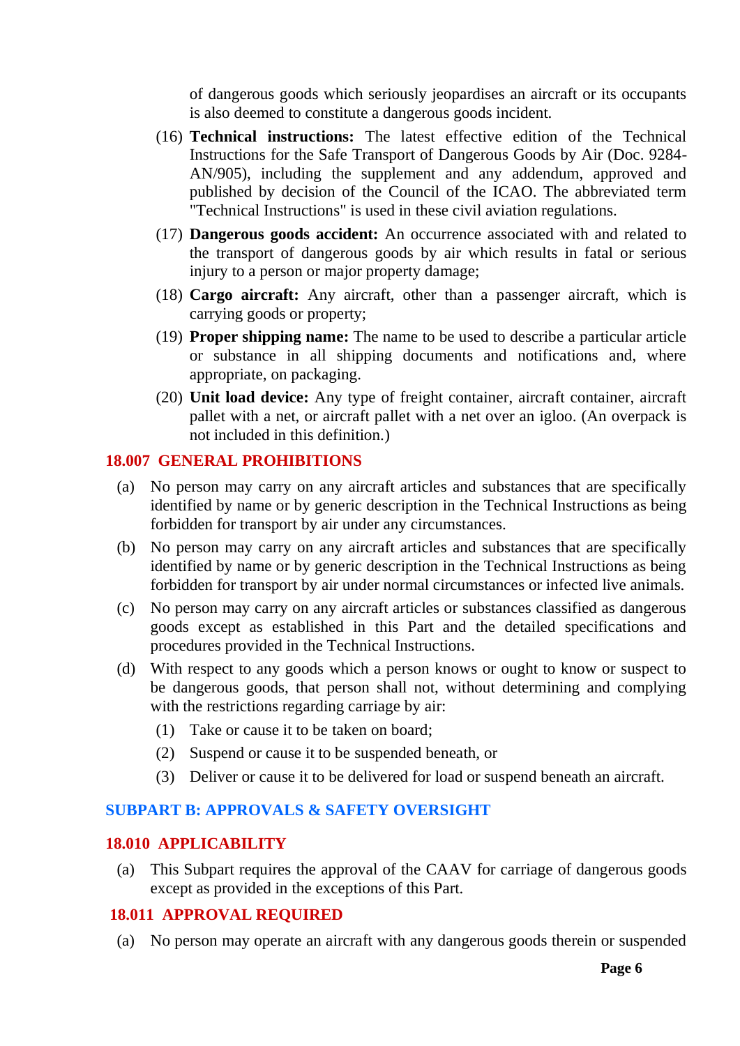of dangerous goods which seriously jeopardises an aircraft or its occupants is also deemed to constitute a dangerous goods incident.

- (16) **Technical instructions:** The latest effective edition of the Technical Instructions for the Safe Transport of Dangerous Goods by Air (Doc. 9284- AN/905), including the supplement and any addendum, approved and published by decision of the Council of the ICAO. The abbreviated term "Technical Instructions" is used in these civil aviation regulations.
- (17) **Dangerous goods accident:** An occurrence associated with and related to the transport of dangerous goods by air which results in fatal or serious injury to a person or major property damage;
- (18) **Cargo aircraft:** Any aircraft, other than a passenger aircraft, which is carrying goods or property;
- (19) **Proper shipping name:** The name to be used to describe a particular article or substance in all shipping documents and notifications and, where appropriate, on packaging.
- (20) **Unit load device:** Any type of freight container, aircraft container, aircraft pallet with a net, or aircraft pallet with a net over an igloo. (An overpack is not included in this definition.)

## <span id="page-5-0"></span>**18.007 GENERAL PROHIBITIONS**

- (a) No person may carry on any aircraft articles and substances that are specifically identified by name or by generic description in the Technical Instructions as being forbidden for transport by air under any circumstances.
- (b) No person may carry on any aircraft articles and substances that are specifically identified by name or by generic description in the Technical Instructions as being forbidden for transport by air under normal circumstances or infected live animals.
- (c) No person may carry on any aircraft articles or substances classified as dangerous goods except as established in this Part and the detailed specifications and procedures provided in the Technical Instructions.
- (d) With respect to any goods which a person knows or ought to know or suspect to be dangerous goods, that person shall not, without determining and complying with the restrictions regarding carriage by air:
	- (1) Take or cause it to be taken on board;
	- (2) Suspend or cause it to be suspended beneath, or
	- (3) Deliver or cause it to be delivered for load or suspend beneath an aircraft.

## <span id="page-5-1"></span>**SUBPART B: APPROVALS & SAFETY OVERSIGHT**

#### <span id="page-5-2"></span>**18.010 APPLICABILITY**

(a) This Subpart requires the approval of the CAAV for carriage of dangerous goods except as provided in the exceptions of this Part.

## <span id="page-5-3"></span>**18.011 APPROVAL REQUIRED**

(a) No person may operate an aircraft with any dangerous goods therein or suspended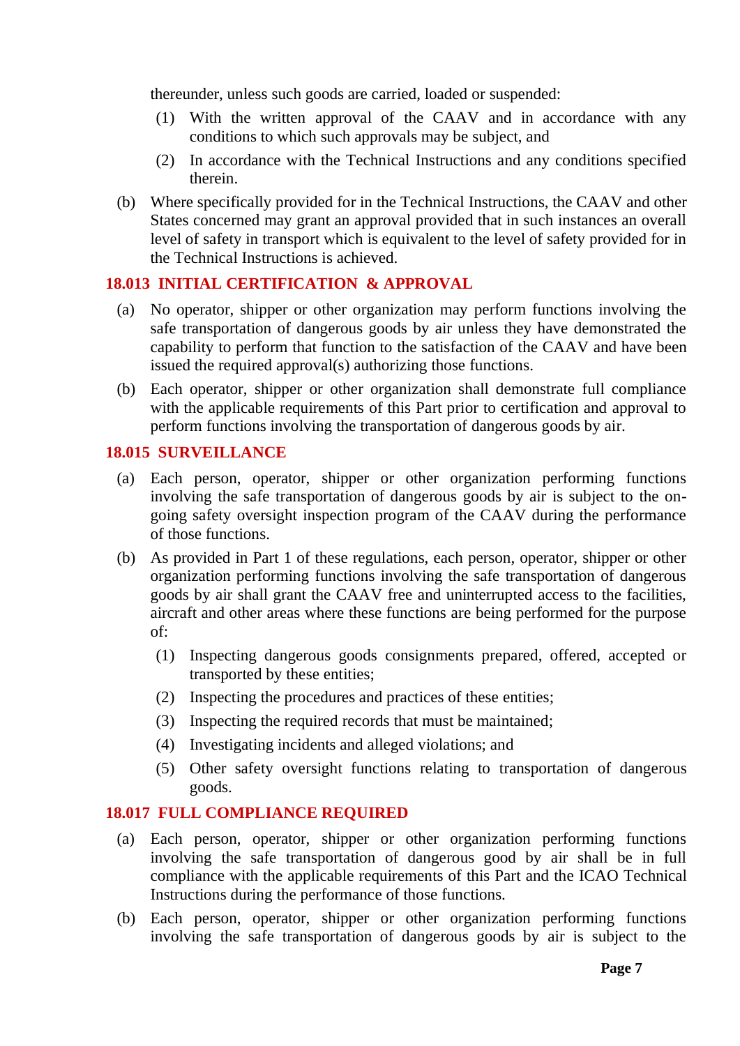thereunder, unless such goods are carried, loaded or suspended:

- (1) With the written approval of the CAAV and in accordance with any conditions to which such approvals may be subject, and
- (2) In accordance with the Technical Instructions and any conditions specified therein.
- (b) Where specifically provided for in the Technical Instructions, the CAAV and other States concerned may grant an approval provided that in such instances an overall level of safety in transport which is equivalent to the level of safety provided for in the Technical Instructions is achieved.

## <span id="page-6-0"></span>**18.013 INITIAL CERTIFICATION & APPROVAL**

- (a) No operator, shipper or other organization may perform functions involving the safe transportation of dangerous goods by air unless they have demonstrated the capability to perform that function to the satisfaction of the CAAV and have been issued the required approval(s) authorizing those functions.
- (b) Each operator, shipper or other organization shall demonstrate full compliance with the applicable requirements of this Part prior to certification and approval to perform functions involving the transportation of dangerous goods by air.

## <span id="page-6-1"></span>**18.015 SURVEILLANCE**

- (a) Each person, operator, shipper or other organization performing functions involving the safe transportation of dangerous goods by air is subject to the ongoing safety oversight inspection program of the CAAV during the performance of those functions.
- (b) As provided in Part 1 of these regulations, each person, operator, shipper or other organization performing functions involving the safe transportation of dangerous goods by air shall grant the CAAV free and uninterrupted access to the facilities, aircraft and other areas where these functions are being performed for the purpose of:
	- (1) Inspecting dangerous goods consignments prepared, offered, accepted or transported by these entities;
	- (2) Inspecting the procedures and practices of these entities;
	- (3) Inspecting the required records that must be maintained;
	- (4) Investigating incidents and alleged violations; and
	- (5) Other safety oversight functions relating to transportation of dangerous goods.

## <span id="page-6-2"></span>**18.017 FULL COMPLIANCE REQUIRED**

- (a) Each person, operator, shipper or other organization performing functions involving the safe transportation of dangerous good by air shall be in full compliance with the applicable requirements of this Part and the ICAO Technical Instructions during the performance of those functions.
- (b) Each person, operator, shipper or other organization performing functions involving the safe transportation of dangerous goods by air is subject to the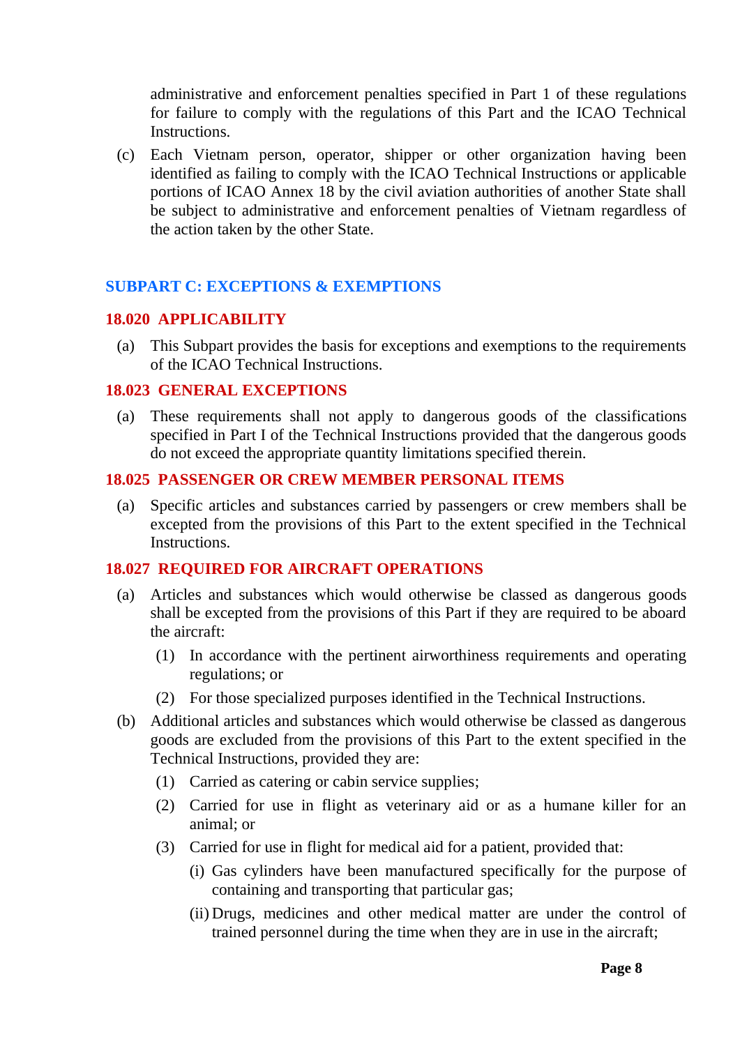administrative and enforcement penalties specified in Part 1 of these regulations for failure to comply with the regulations of this Part and the ICAO Technical Instructions.

(c) Each Vietnam person, operator, shipper or other organization having been identified as failing to comply with the ICAO Technical Instructions or applicable portions of ICAO Annex 18 by the civil aviation authorities of another State shall be subject to administrative and enforcement penalties of Vietnam regardless of the action taken by the other State.

## <span id="page-7-0"></span>**SUBPART C: EXCEPTIONS & EXEMPTIONS**

## <span id="page-7-1"></span>**18.020 APPLICABILITY**

(a) This Subpart provides the basis for exceptions and exemptions to the requirements of the ICAO Technical Instructions.

## <span id="page-7-2"></span>**18.023 GENERAL EXCEPTIONS**

(a) These requirements shall not apply to dangerous goods of the classifications specified in Part I of the Technical Instructions provided that the dangerous goods do not exceed the appropriate quantity limitations specified therein.

## <span id="page-7-3"></span>**18.025 PASSENGER OR CREW MEMBER PERSONAL ITEMS**

(a) Specific articles and substances carried by passengers or crew members shall be excepted from the provisions of this Part to the extent specified in the Technical Instructions.

#### <span id="page-7-4"></span>**18.027 REQUIRED FOR AIRCRAFT OPERATIONS**

- (a) Articles and substances which would otherwise be classed as dangerous goods shall be excepted from the provisions of this Part if they are required to be aboard the aircraft:
	- (1) In accordance with the pertinent airworthiness requirements and operating regulations; or
	- (2) For those specialized purposes identified in the Technical Instructions.
- (b) Additional articles and substances which would otherwise be classed as dangerous goods are excluded from the provisions of this Part to the extent specified in the Technical Instructions, provided they are:
	- (1) Carried as catering or cabin service supplies;
	- (2) Carried for use in flight as veterinary aid or as a humane killer for an animal; or
	- (3) Carried for use in flight for medical aid for a patient, provided that:
		- (i) Gas cylinders have been manufactured specifically for the purpose of containing and transporting that particular gas;
		- (ii) Drugs, medicines and other medical matter are under the control of trained personnel during the time when they are in use in the aircraft;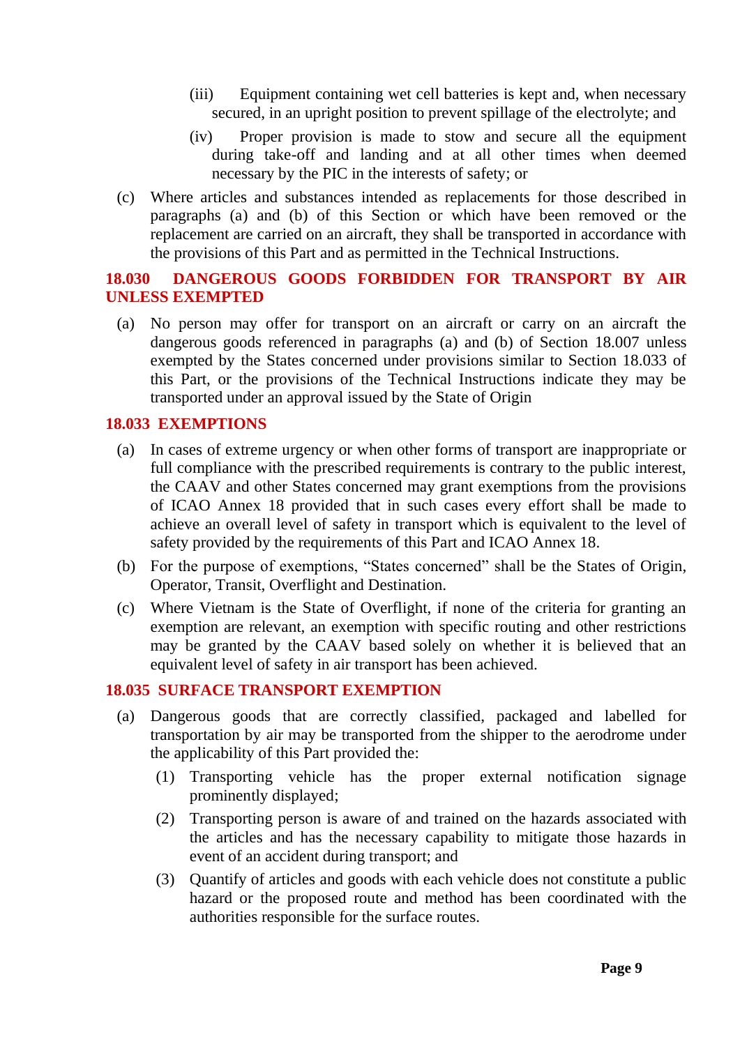- (iii) Equipment containing wet cell batteries is kept and, when necessary secured, in an upright position to prevent spillage of the electrolyte; and
- (iv) Proper provision is made to stow and secure all the equipment during take-off and landing and at all other times when deemed necessary by the PIC in the interests of safety; or
- (c) Where articles and substances intended as replacements for those described in paragraphs (a) and (b) of this Section or which have been removed or the replacement are carried on an aircraft, they shall be transported in accordance with the provisions of this Part and as permitted in the Technical Instructions.

## <span id="page-8-0"></span>**18.030 DANGEROUS GOODS FORBIDDEN FOR TRANSPORT BY AIR UNLESS EXEMPTED**

(a) No person may offer for transport on an aircraft or carry on an aircraft the dangerous goods referenced in paragraphs (a) and (b) of Section 18.007 unless exempted by the States concerned under provisions similar to Section 18.033 of this Part, or the provisions of the Technical Instructions indicate they may be transported under an approval issued by the State of Origin

#### <span id="page-8-1"></span>**18.033 EXEMPTIONS**

- (a) In cases of extreme urgency or when other forms of transport are inappropriate or full compliance with the prescribed requirements is contrary to the public interest, the CAAV and other States concerned may grant exemptions from the provisions of ICAO Annex 18 provided that in such cases every effort shall be made to achieve an overall level of safety in transport which is equivalent to the level of safety provided by the requirements of this Part and ICAO Annex 18.
- (b) For the purpose of exemptions, "States concerned" shall be the States of Origin, Operator, Transit, Overflight and Destination.
- (c) Where Vietnam is the State of Overflight, if none of the criteria for granting an exemption are relevant, an exemption with specific routing and other restrictions may be granted by the CAAV based solely on whether it is believed that an equivalent level of safety in air transport has been achieved.

#### <span id="page-8-2"></span>**18.035 SURFACE TRANSPORT EXEMPTION**

- (a) Dangerous goods that are correctly classified, packaged and labelled for transportation by air may be transported from the shipper to the aerodrome under the applicability of this Part provided the:
	- (1) Transporting vehicle has the proper external notification signage prominently displayed;
	- (2) Transporting person is aware of and trained on the hazards associated with the articles and has the necessary capability to mitigate those hazards in event of an accident during transport; and
	- (3) Quantify of articles and goods with each vehicle does not constitute a public hazard or the proposed route and method has been coordinated with the authorities responsible for the surface routes.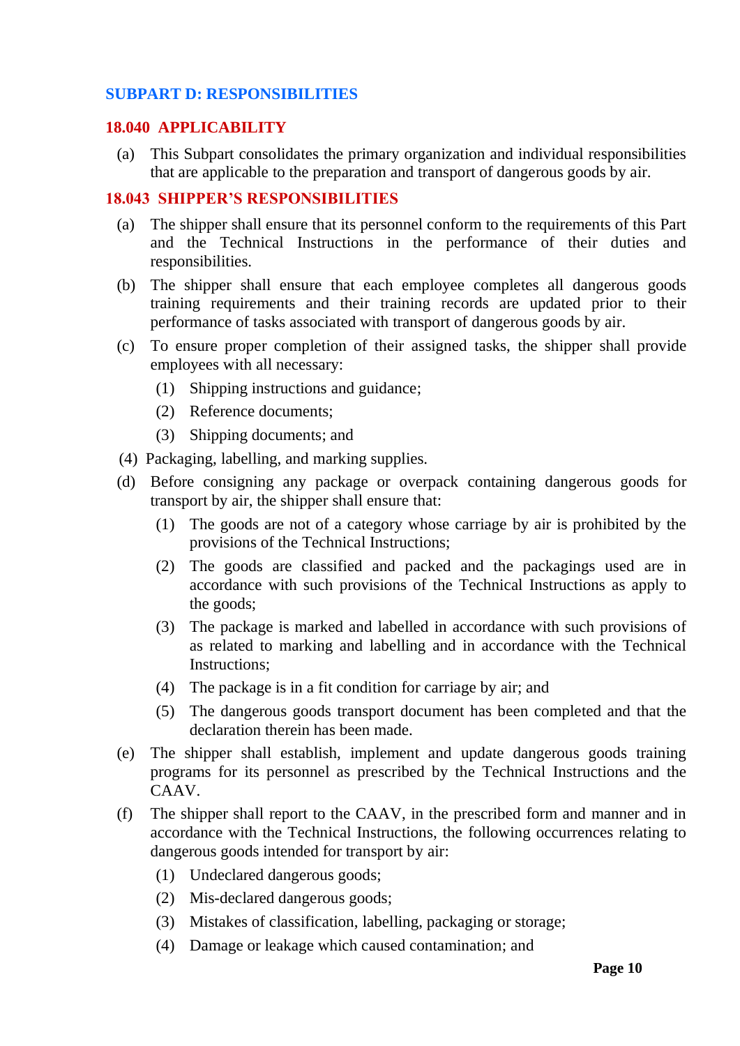## <span id="page-9-0"></span>**SUBPART D: RESPONSIBILITIES**

#### <span id="page-9-1"></span>**18.040 APPLICABILITY**

(a) This Subpart consolidates the primary organization and individual responsibilities that are applicable to the preparation and transport of dangerous goods by air.

# <span id="page-9-2"></span>**18.043 SHIPPER'S RESPONSIBILITIES**

- (a) The shipper shall ensure that its personnel conform to the requirements of this Part and the Technical Instructions in the performance of their duties and responsibilities.
- (b) The shipper shall ensure that each employee completes all dangerous goods training requirements and their training records are updated prior to their performance of tasks associated with transport of dangerous goods by air.
- (c) To ensure proper completion of their assigned tasks, the shipper shall provide employees with all necessary:
	- (1) Shipping instructions and guidance;
	- (2) Reference documents;
	- (3) Shipping documents; and
- (4) Packaging, labelling, and marking supplies.
- (d) Before consigning any package or overpack containing dangerous goods for transport by air, the shipper shall ensure that:
	- (1) The goods are not of a category whose carriage by air is prohibited by the provisions of the Technical Instructions;
	- (2) The goods are classified and packed and the packagings used are in accordance with such provisions of the Technical Instructions as apply to the goods;
	- (3) The package is marked and labelled in accordance with such provisions of as related to marking and labelling and in accordance with the Technical Instructions;
	- (4) The package is in a fit condition for carriage by air; and
	- (5) The dangerous goods transport document has been completed and that the declaration therein has been made.
- (e) The shipper shall establish, implement and update dangerous goods training programs for its personnel as prescribed by the Technical Instructions and the CAAV.
- (f) The shipper shall report to the CAAV, in the prescribed form and manner and in accordance with the Technical Instructions, the following occurrences relating to dangerous goods intended for transport by air:
	- (1) Undeclared dangerous goods;
	- (2) Mis-declared dangerous goods;
	- (3) Mistakes of classification, labelling, packaging or storage;
	- (4) Damage or leakage which caused contamination; and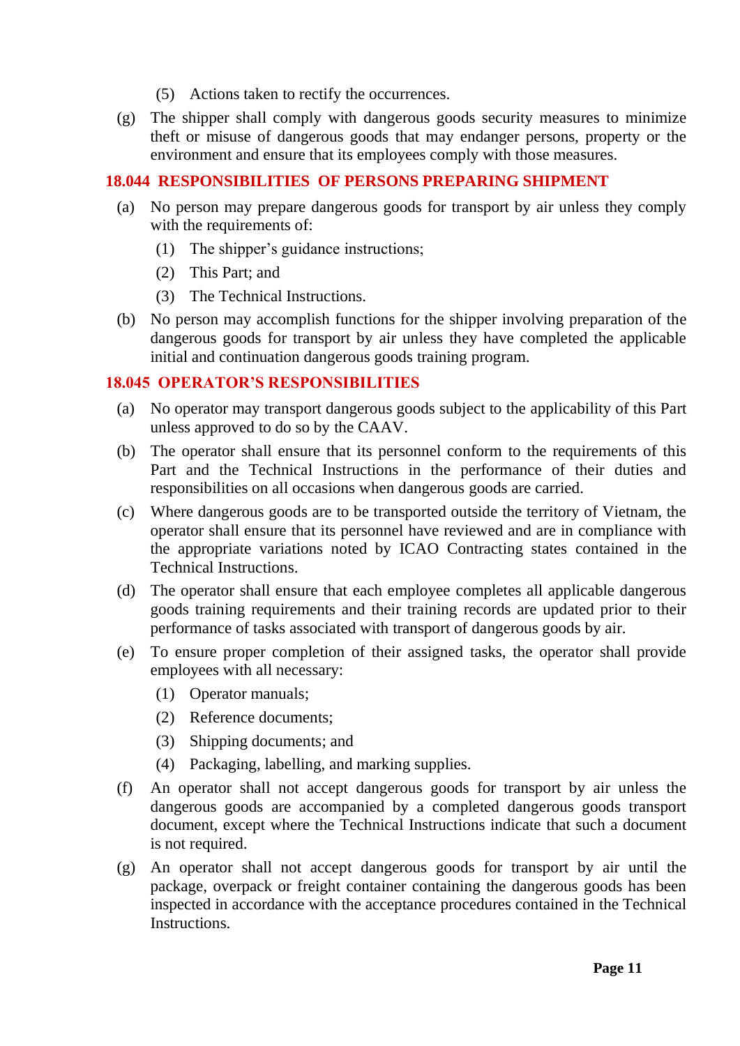- (5) Actions taken to rectify the occurrences.
- (g) The shipper shall comply with dangerous goods security measures to minimize theft or misuse of dangerous goods that may endanger persons, property or the environment and ensure that its employees comply with those measures.

# <span id="page-10-0"></span>**18.044 RESPONSIBILITIES OF PERSONS PREPARING SHIPMENT**

- (a) No person may prepare dangerous goods for transport by air unless they comply with the requirements of:
	- (1) The shipper's guidance instructions;
	- (2) This Part; and
	- (3) The Technical Instructions.
- (b) No person may accomplish functions for the shipper involving preparation of the dangerous goods for transport by air unless they have completed the applicable initial and continuation dangerous goods training program.

## <span id="page-10-1"></span>**18.045 OPERATOR'S RESPONSIBILITIES**

- (a) No operator may transport dangerous goods subject to the applicability of this Part unless approved to do so by the CAAV.
- (b) The operator shall ensure that its personnel conform to the requirements of this Part and the Technical Instructions in the performance of their duties and responsibilities on all occasions when dangerous goods are carried.
- (c) Where dangerous goods are to be transported outside the territory of Vietnam, the operator shall ensure that its personnel have reviewed and are in compliance with the appropriate variations noted by ICAO Contracting states contained in the Technical Instructions.
- (d) The operator shall ensure that each employee completes all applicable dangerous goods training requirements and their training records are updated prior to their performance of tasks associated with transport of dangerous goods by air.
- (e) To ensure proper completion of their assigned tasks, the operator shall provide employees with all necessary:
	- (1) Operator manuals;
	- (2) Reference documents;
	- (3) Shipping documents; and
	- (4) Packaging, labelling, and marking supplies.
- (f) An operator shall not accept dangerous goods for transport by air unless the dangerous goods are accompanied by a completed dangerous goods transport document, except where the Technical Instructions indicate that such a document is not required.
- (g) An operator shall not accept dangerous goods for transport by air until the package, overpack or freight container containing the dangerous goods has been inspected in accordance with the acceptance procedures contained in the Technical Instructions.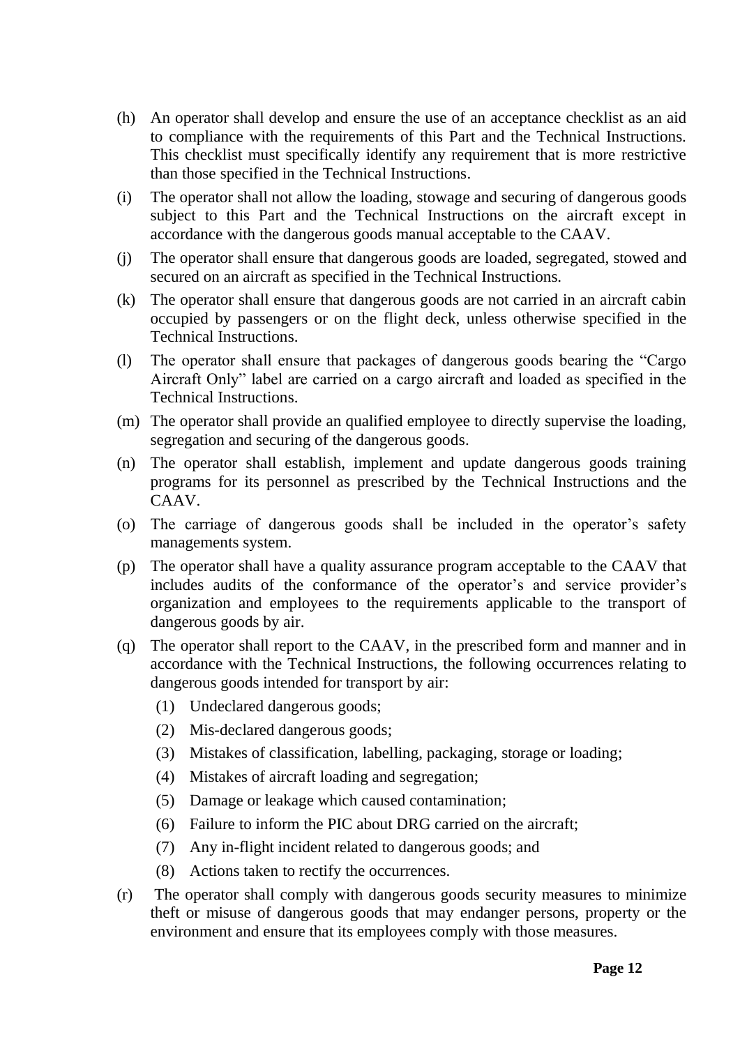- (h) An operator shall develop and ensure the use of an acceptance checklist as an aid to compliance with the requirements of this Part and the Technical Instructions. This checklist must specifically identify any requirement that is more restrictive than those specified in the Technical Instructions.
- (i) The operator shall not allow the loading, stowage and securing of dangerous goods subject to this Part and the Technical Instructions on the aircraft except in accordance with the dangerous goods manual acceptable to the CAAV.
- (j) The operator shall ensure that dangerous goods are loaded, segregated, stowed and secured on an aircraft as specified in the Technical Instructions.
- (k) The operator shall ensure that dangerous goods are not carried in an aircraft cabin occupied by passengers or on the flight deck, unless otherwise specified in the Technical Instructions.
- (l) The operator shall ensure that packages of dangerous goods bearing the "Cargo Aircraft Only" label are carried on a cargo aircraft and loaded as specified in the Technical Instructions.
- (m) The operator shall provide an qualified employee to directly supervise the loading, segregation and securing of the dangerous goods.
- (n) The operator shall establish, implement and update dangerous goods training programs for its personnel as prescribed by the Technical Instructions and the CAAV.
- (o) The carriage of dangerous goods shall be included in the operator's safety managements system.
- (p) The operator shall have a quality assurance program acceptable to the CAAV that includes audits of the conformance of the operator's and service provider's organization and employees to the requirements applicable to the transport of dangerous goods by air.
- (q) The operator shall report to the CAAV, in the prescribed form and manner and in accordance with the Technical Instructions, the following occurrences relating to dangerous goods intended for transport by air:
	- (1) Undeclared dangerous goods;
	- (2) Mis-declared dangerous goods;
	- (3) Mistakes of classification, labelling, packaging, storage or loading;
	- (4) Mistakes of aircraft loading and segregation;
	- (5) Damage or leakage which caused contamination;
	- (6) Failure to inform the PIC about DRG carried on the aircraft;
	- (7) Any in-flight incident related to dangerous goods; and
	- (8) Actions taken to rectify the occurrences.
- (r) The operator shall comply with dangerous goods security measures to minimize theft or misuse of dangerous goods that may endanger persons, property or the environment and ensure that its employees comply with those measures.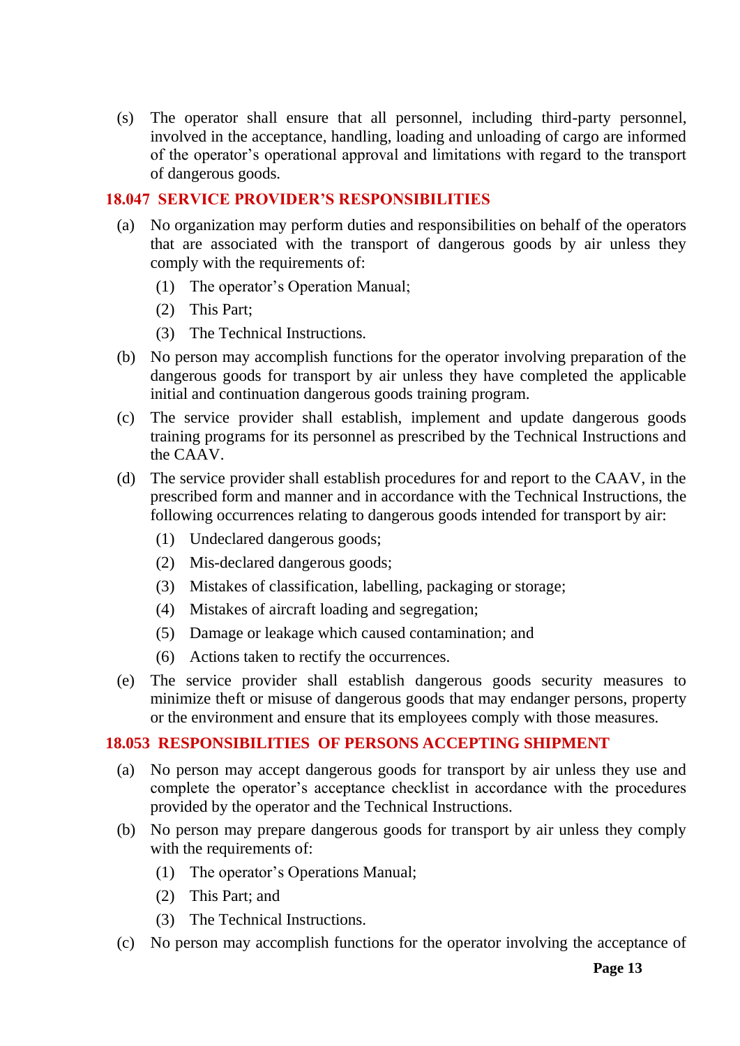(s) The operator shall ensure that all personnel, including third-party personnel, involved in the acceptance, handling, loading and unloading of cargo are informed of the operator's operational approval and limitations with regard to the transport of dangerous goods.

## <span id="page-12-0"></span>**18.047 SERVICE PROVIDER'S RESPONSIBILITIES**

- (a) No organization may perform duties and responsibilities on behalf of the operators that are associated with the transport of dangerous goods by air unless they comply with the requirements of:
	- (1) The operator's Operation Manual;
	- (2) This Part;
	- (3) The Technical Instructions.
- (b) No person may accomplish functions for the operator involving preparation of the dangerous goods for transport by air unless they have completed the applicable initial and continuation dangerous goods training program.
- (c) The service provider shall establish, implement and update dangerous goods training programs for its personnel as prescribed by the Technical Instructions and the CAAV.
- (d) The service provider shall establish procedures for and report to the CAAV, in the prescribed form and manner and in accordance with the Technical Instructions, the following occurrences relating to dangerous goods intended for transport by air:
	- (1) Undeclared dangerous goods;
	- (2) Mis-declared dangerous goods;
	- (3) Mistakes of classification, labelling, packaging or storage;
	- (4) Mistakes of aircraft loading and segregation;
	- (5) Damage or leakage which caused contamination; and
	- (6) Actions taken to rectify the occurrences.
- (e) The service provider shall establish dangerous goods security measures to minimize theft or misuse of dangerous goods that may endanger persons, property or the environment and ensure that its employees comply with those measures.

# <span id="page-12-1"></span>**18.053 RESPONSIBILITIES OF PERSONS ACCEPTING SHIPMENT**

- (a) No person may accept dangerous goods for transport by air unless they use and complete the operator's acceptance checklist in accordance with the procedures provided by the operator and the Technical Instructions.
- (b) No person may prepare dangerous goods for transport by air unless they comply with the requirements of:
	- (1) The operator's Operations Manual;
	- (2) This Part; and
	- (3) The Technical Instructions.
- (c) No person may accomplish functions for the operator involving the acceptance of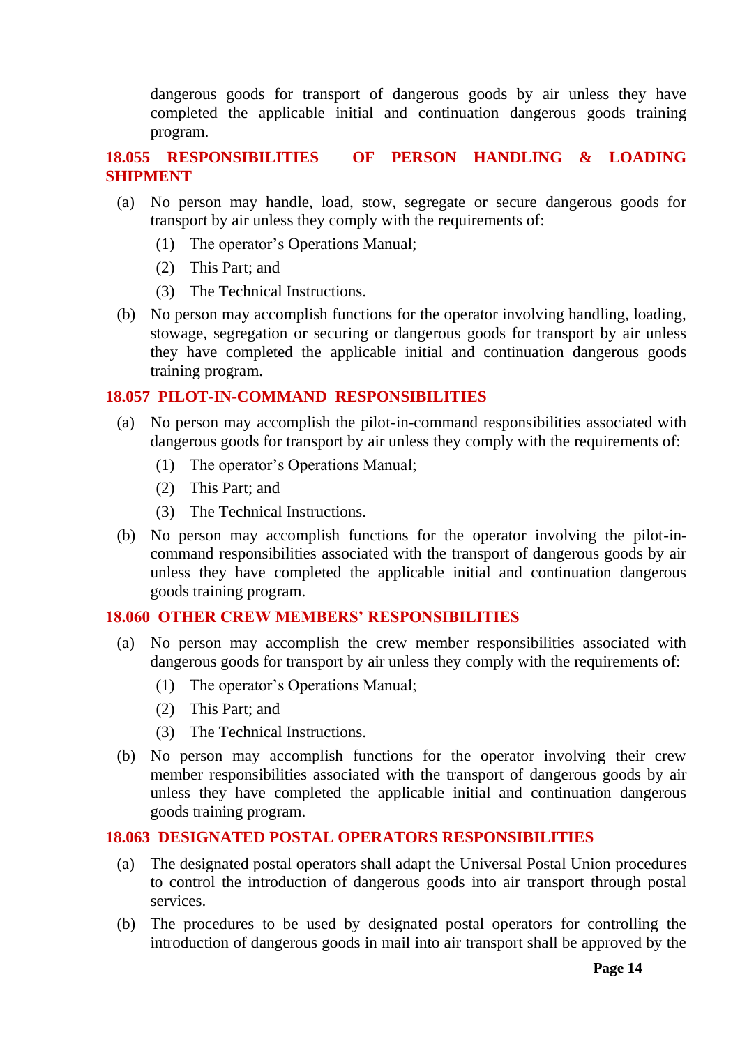dangerous goods for transport of dangerous goods by air unless they have completed the applicable initial and continuation dangerous goods training program.

# <span id="page-13-0"></span>**18.055 RESPONSIBILITIES OF PERSON HANDLING & LOADING SHIPMENT**

- (a) No person may handle, load, stow, segregate or secure dangerous goods for transport by air unless they comply with the requirements of:
	- (1) The operator's Operations Manual;
	- (2) This Part; and
	- (3) The Technical Instructions.
- (b) No person may accomplish functions for the operator involving handling, loading, stowage, segregation or securing or dangerous goods for transport by air unless they have completed the applicable initial and continuation dangerous goods training program.

## <span id="page-13-1"></span>**18.057 PILOT-IN-COMMAND RESPONSIBILITIES**

- (a) No person may accomplish the pilot-in-command responsibilities associated with dangerous goods for transport by air unless they comply with the requirements of:
	- (1) The operator's Operations Manual;
	- (2) This Part; and
	- (3) The Technical Instructions.
- (b) No person may accomplish functions for the operator involving the pilot-incommand responsibilities associated with the transport of dangerous goods by air unless they have completed the applicable initial and continuation dangerous goods training program.

#### <span id="page-13-2"></span>**18.060 OTHER CREW MEMBERS' RESPONSIBILITIES**

- (a) No person may accomplish the crew member responsibilities associated with dangerous goods for transport by air unless they comply with the requirements of:
	- (1) The operator's Operations Manual;
	- (2) This Part; and
	- (3) The Technical Instructions.
- (b) No person may accomplish functions for the operator involving their crew member responsibilities associated with the transport of dangerous goods by air unless they have completed the applicable initial and continuation dangerous goods training program.

#### <span id="page-13-3"></span>**18.063 DESIGNATED POSTAL OPERATORS RESPONSIBILITIES**

- (a) The designated postal operators shall adapt the Universal Postal Union procedures to control the introduction of dangerous goods into air transport through postal services.
- (b) The procedures to be used by designated postal operators for controlling the introduction of dangerous goods in mail into air transport shall be approved by the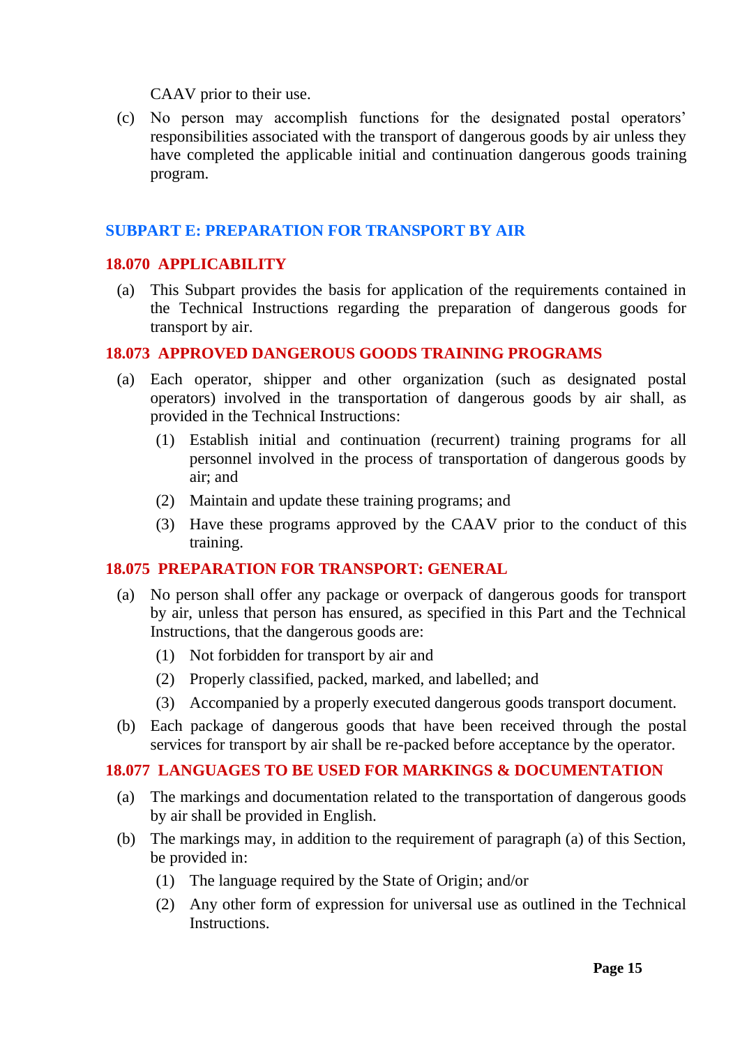CAAV prior to their use.

(c) No person may accomplish functions for the designated postal operators' responsibilities associated with the transport of dangerous goods by air unless they have completed the applicable initial and continuation dangerous goods training program.

#### <span id="page-14-0"></span>**SUBPART E: PREPARATION FOR TRANSPORT BY AIR**

#### <span id="page-14-1"></span>**18.070 APPLICABILITY**

(a) This Subpart provides the basis for application of the requirements contained in the Technical Instructions regarding the preparation of dangerous goods for transport by air.

#### <span id="page-14-2"></span>**18.073 APPROVED DANGEROUS GOODS TRAINING PROGRAMS**

- (a) Each operator, shipper and other organization (such as designated postal operators) involved in the transportation of dangerous goods by air shall, as provided in the Technical Instructions:
	- (1) Establish initial and continuation (recurrent) training programs for all personnel involved in the process of transportation of dangerous goods by air; and
	- (2) Maintain and update these training programs; and
	- (3) Have these programs approved by the CAAV prior to the conduct of this training.

## <span id="page-14-3"></span>**18.075 PREPARATION FOR TRANSPORT: GENERAL**

- (a) No person shall offer any package or overpack of dangerous goods for transport by air, unless that person has ensured, as specified in this Part and the Technical Instructions, that the dangerous goods are:
	- (1) Not forbidden for transport by air and
	- (2) Properly classified, packed, marked, and labelled; and
	- (3) Accompanied by a properly executed dangerous goods transport document.
- (b) Each package of dangerous goods that have been received through the postal services for transport by air shall be re-packed before acceptance by the operator.

#### <span id="page-14-4"></span>**18.077 LANGUAGES TO BE USED FOR MARKINGS & DOCUMENTATION**

- (a) The markings and documentation related to the transportation of dangerous goods by air shall be provided in English.
- (b) The markings may, in addition to the requirement of paragraph (a) of this Section, be provided in:
	- (1) The language required by the State of Origin; and/or
	- (2) Any other form of expression for universal use as outlined in the Technical Instructions.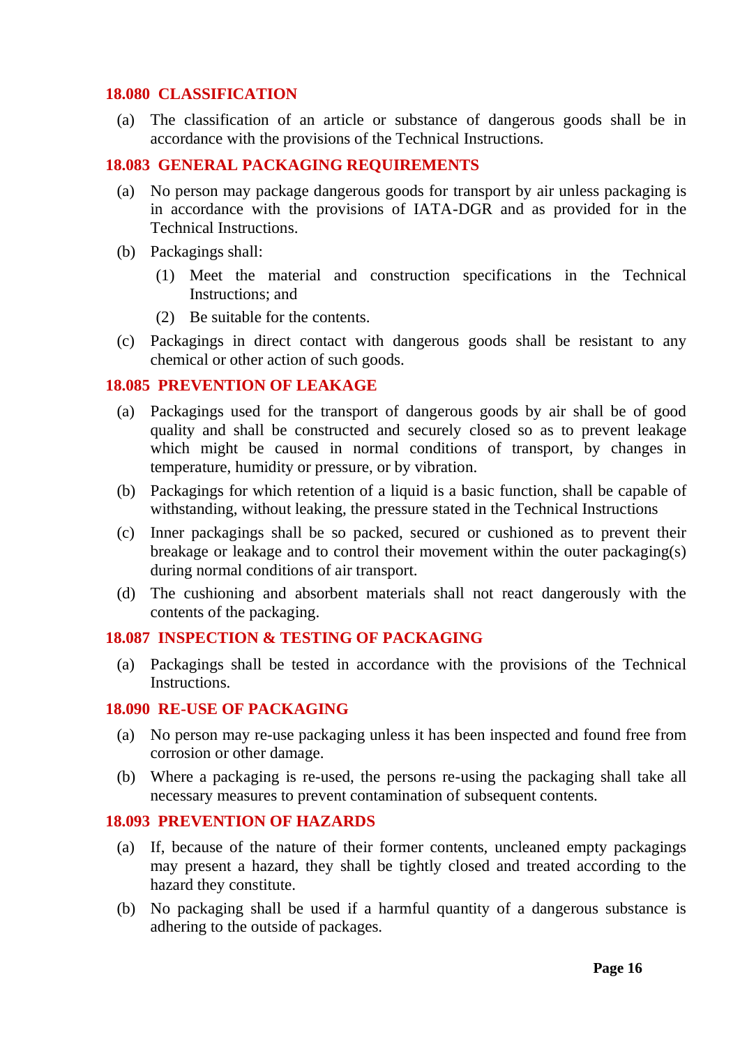#### <span id="page-15-0"></span>**18.080 CLASSIFICATION**

(a) The classification of an article or substance of dangerous goods shall be in accordance with the provisions of the Technical Instructions.

#### <span id="page-15-1"></span>**18.083 GENERAL PACKAGING REQUIREMENTS**

- (a) No person may package dangerous goods for transport by air unless packaging is in accordance with the provisions of IATA-DGR and as provided for in the Technical Instructions.
- (b) Packagings shall:
	- (1) Meet the material and construction specifications in the Technical Instructions; and
	- (2) Be suitable for the contents.
- (c) Packagings in direct contact with dangerous goods shall be resistant to any chemical or other action of such goods.

#### <span id="page-15-2"></span>**18.085 PREVENTION OF LEAKAGE**

- (a) Packagings used for the transport of dangerous goods by air shall be of good quality and shall be constructed and securely closed so as to prevent leakage which might be caused in normal conditions of transport, by changes in temperature, humidity or pressure, or by vibration.
- (b) Packagings for which retention of a liquid is a basic function, shall be capable of withstanding, without leaking, the pressure stated in the Technical Instructions
- (c) Inner packagings shall be so packed, secured or cushioned as to prevent their breakage or leakage and to control their movement within the outer packaging(s) during normal conditions of air transport.
- (d) The cushioning and absorbent materials shall not react dangerously with the contents of the packaging.

## <span id="page-15-3"></span>**18.087 INSPECTION & TESTING OF PACKAGING**

(a) Packagings shall be tested in accordance with the provisions of the Technical Instructions.

#### <span id="page-15-4"></span>**18.090 RE-USE OF PACKAGING**

- (a) No person may re-use packaging unless it has been inspected and found free from corrosion or other damage.
- (b) Where a packaging is re-used, the persons re-using the packaging shall take all necessary measures to prevent contamination of subsequent contents.

#### <span id="page-15-5"></span>**18.093 PREVENTION OF HAZARDS**

- (a) If, because of the nature of their former contents, uncleaned empty packagings may present a hazard, they shall be tightly closed and treated according to the hazard they constitute.
- (b) No packaging shall be used if a harmful quantity of a dangerous substance is adhering to the outside of packages.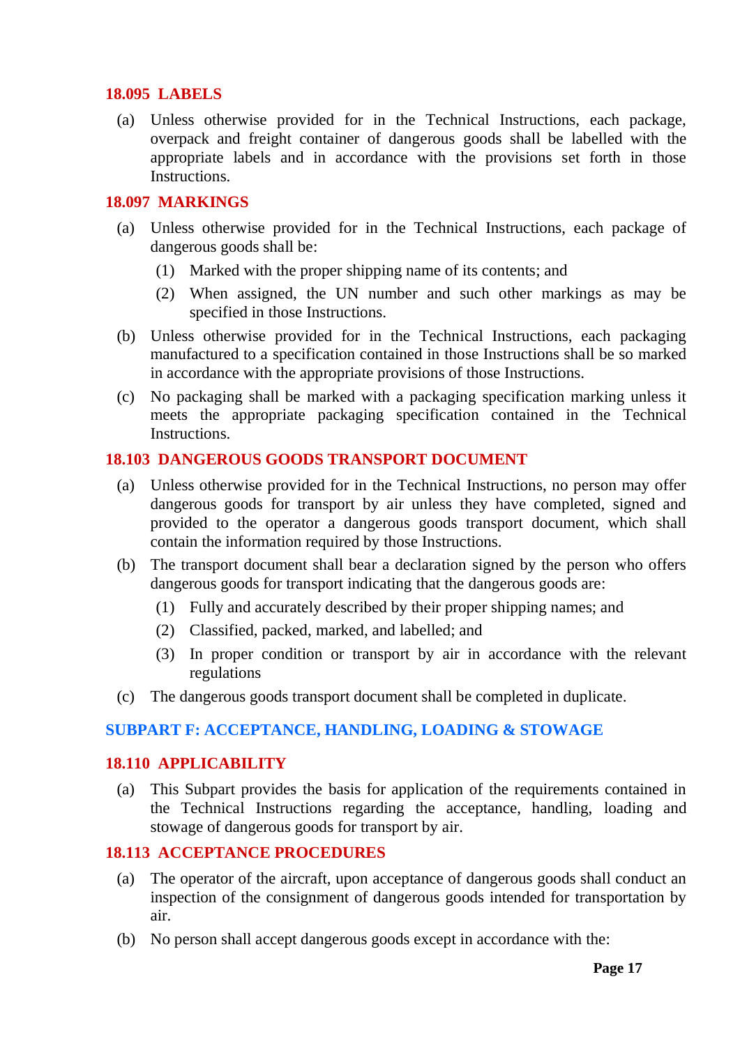## <span id="page-16-0"></span>**18.095 LABELS**

(a) Unless otherwise provided for in the Technical Instructions, each package, overpack and freight container of dangerous goods shall be labelled with the appropriate labels and in accordance with the provisions set forth in those Instructions.

## <span id="page-16-1"></span>**18.097 MARKINGS**

- (a) Unless otherwise provided for in the Technical Instructions, each package of dangerous goods shall be:
	- (1) Marked with the proper shipping name of its contents; and
	- (2) When assigned, the UN number and such other markings as may be specified in those Instructions.
- (b) Unless otherwise provided for in the Technical Instructions, each packaging manufactured to a specification contained in those Instructions shall be so marked in accordance with the appropriate provisions of those Instructions.
- (c) No packaging shall be marked with a packaging specification marking unless it meets the appropriate packaging specification contained in the Technical **Instructions**

## <span id="page-16-2"></span>**18.103 DANGEROUS GOODS TRANSPORT DOCUMENT**

- (a) Unless otherwise provided for in the Technical Instructions, no person may offer dangerous goods for transport by air unless they have completed, signed and provided to the operator a dangerous goods transport document, which shall contain the information required by those Instructions.
- (b) The transport document shall bear a declaration signed by the person who offers dangerous goods for transport indicating that the dangerous goods are:
	- (1) Fully and accurately described by their proper shipping names; and
	- (2) Classified, packed, marked, and labelled; and
	- (3) In proper condition or transport by air in accordance with the relevant regulations
- (c) The dangerous goods transport document shall be completed in duplicate.

## <span id="page-16-3"></span>**SUBPART F: ACCEPTANCE, HANDLING, LOADING & STOWAGE**

#### <span id="page-16-4"></span>**18.110 APPLICABILITY**

(a) This Subpart provides the basis for application of the requirements contained in the Technical Instructions regarding the acceptance, handling, loading and stowage of dangerous goods for transport by air.

## <span id="page-16-5"></span>**18.113 ACCEPTANCE PROCEDURES**

- (a) The operator of the aircraft, upon acceptance of dangerous goods shall conduct an inspection of the consignment of dangerous goods intended for transportation by air.
- (b) No person shall accept dangerous goods except in accordance with the: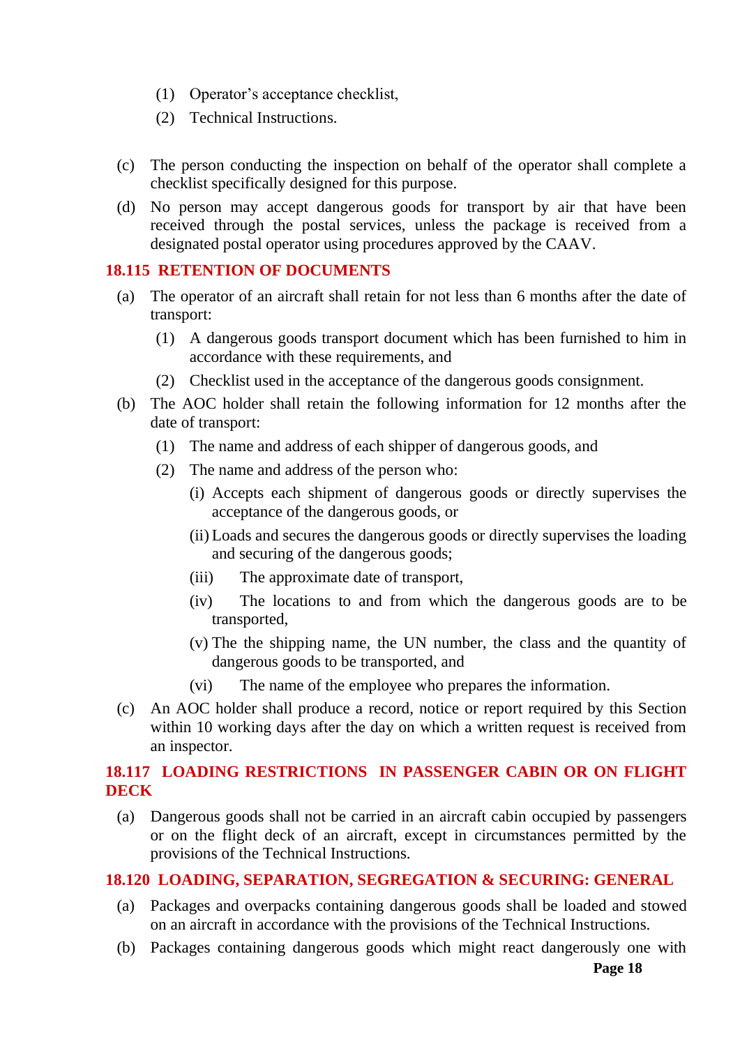- (1) Operator's acceptance checklist,
- (2) Technical Instructions.
- (c) The person conducting the inspection on behalf of the operator shall complete a checklist specifically designed for this purpose.
- (d) No person may accept dangerous goods for transport by air that have been received through the postal services, unless the package is received from a designated postal operator using procedures approved by the CAAV.

## <span id="page-17-0"></span>**18.115 RETENTION OF DOCUMENTS**

- (a) The operator of an aircraft shall retain for not less than 6 months after the date of transport:
	- (1) A dangerous goods transport document which has been furnished to him in accordance with these requirements, and
	- (2) Checklist used in the acceptance of the dangerous goods consignment.
- (b) The AOC holder shall retain the following information for 12 months after the date of transport:
	- (1) The name and address of each shipper of dangerous goods, and
	- (2) The name and address of the person who:
		- (i) Accepts each shipment of dangerous goods or directly supervises the acceptance of the dangerous goods, or
		- (ii) Loads and secures the dangerous goods or directly supervises the loading and securing of the dangerous goods;
		- (iii) The approximate date of transport,
		- (iv) The locations to and from which the dangerous goods are to be transported,
		- (v) The the shipping name, the UN number, the class and the quantity of dangerous goods to be transported, and
		- (vi) The name of the employee who prepares the information.
- (c) An AOC holder shall produce a record, notice or report required by this Section within 10 working days after the day on which a written request is received from an inspector.

# <span id="page-17-1"></span>**18.117 LOADING RESTRICTIONS IN PASSENGER CABIN OR ON FLIGHT DECK**

(a) Dangerous goods shall not be carried in an aircraft cabin occupied by passengers or on the flight deck of an aircraft, except in circumstances permitted by the provisions of the Technical Instructions.

## <span id="page-17-2"></span>**18.120 LOADING, SEPARATION, SEGREGATION & SECURING: GENERAL**

- (a) Packages and overpacks containing dangerous goods shall be loaded and stowed on an aircraft in accordance with the provisions of the Technical Instructions.
- (b) Packages containing dangerous goods which might react dangerously one with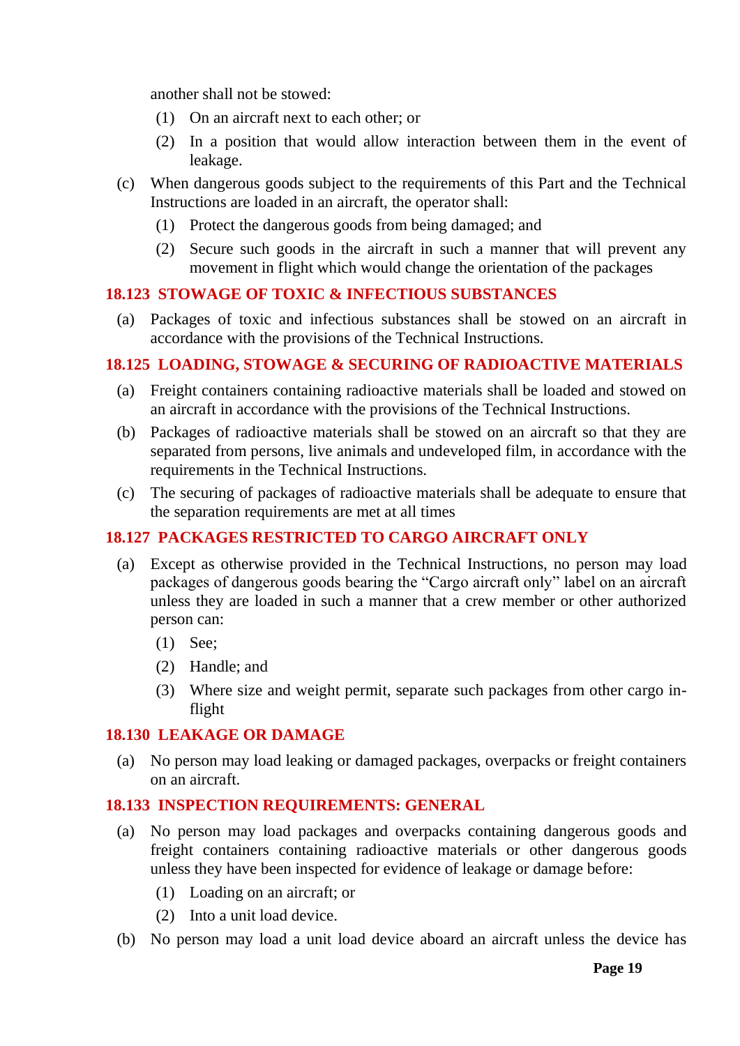another shall not be stowed:

- (1) On an aircraft next to each other; or
- (2) In a position that would allow interaction between them in the event of leakage.
- (c) When dangerous goods subject to the requirements of this Part and the Technical Instructions are loaded in an aircraft, the operator shall:
	- (1) Protect the dangerous goods from being damaged; and
	- (2) Secure such goods in the aircraft in such a manner that will prevent any movement in flight which would change the orientation of the packages

## <span id="page-18-0"></span>**18.123 STOWAGE OF TOXIC & INFECTIOUS SUBSTANCES**

(a) Packages of toxic and infectious substances shall be stowed on an aircraft in accordance with the provisions of the Technical Instructions.

## <span id="page-18-1"></span>**18.125 LOADING, STOWAGE & SECURING OF RADIOACTIVE MATERIALS**

- (a) Freight containers containing radioactive materials shall be loaded and stowed on an aircraft in accordance with the provisions of the Technical Instructions.
- (b) Packages of radioactive materials shall be stowed on an aircraft so that they are separated from persons, live animals and undeveloped film, in accordance with the requirements in the Technical Instructions.
- (c) The securing of packages of radioactive materials shall be adequate to ensure that the separation requirements are met at all times

## <span id="page-18-2"></span>**18.127 PACKAGES RESTRICTED TO CARGO AIRCRAFT ONLY**

- (a) Except as otherwise provided in the Technical Instructions, no person may load packages of dangerous goods bearing the "Cargo aircraft only" label on an aircraft unless they are loaded in such a manner that a crew member or other authorized person can:
	- (1) See;
	- (2) Handle; and
	- (3) Where size and weight permit, separate such packages from other cargo inflight

#### <span id="page-18-3"></span>**18.130 LEAKAGE OR DAMAGE**

(a) No person may load leaking or damaged packages, overpacks or freight containers on an aircraft.

## <span id="page-18-4"></span>**18.133 INSPECTION REQUIREMENTS: GENERAL**

- (a) No person may load packages and overpacks containing dangerous goods and freight containers containing radioactive materials or other dangerous goods unless they have been inspected for evidence of leakage or damage before:
	- (1) Loading on an aircraft; or
	- (2) Into a unit load device.
- (b) No person may load a unit load device aboard an aircraft unless the device has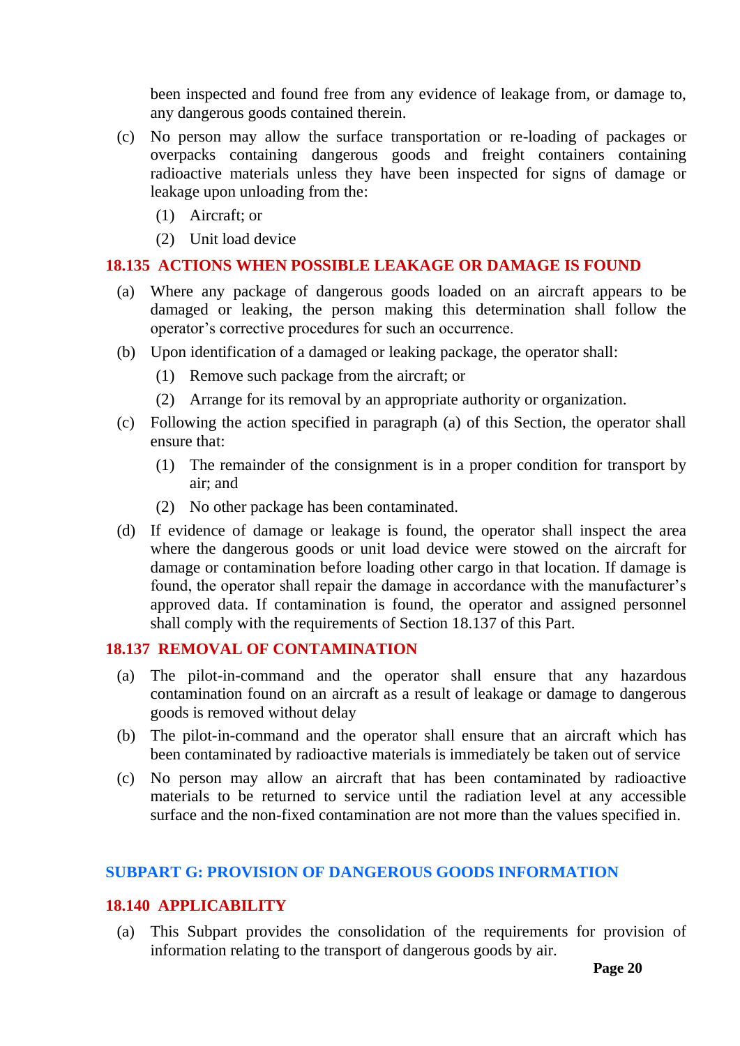been inspected and found free from any evidence of leakage from, or damage to, any dangerous goods contained therein.

- (c) No person may allow the surface transportation or re-loading of packages or overpacks containing dangerous goods and freight containers containing radioactive materials unless they have been inspected for signs of damage or leakage upon unloading from the:
	- (1) Aircraft; or
	- (2) Unit load device

## <span id="page-19-0"></span>**18.135 ACTIONS WHEN POSSIBLE LEAKAGE OR DAMAGE IS FOUND**

- (a) Where any package of dangerous goods loaded on an aircraft appears to be damaged or leaking, the person making this determination shall follow the operator's corrective procedures for such an occurrence.
- (b) Upon identification of a damaged or leaking package, the operator shall:
	- (1) Remove such package from the aircraft; or
	- (2) Arrange for its removal by an appropriate authority or organization.
- (c) Following the action specified in paragraph (a) of this Section, the operator shall ensure that:
	- (1) The remainder of the consignment is in a proper condition for transport by air; and
	- (2) No other package has been contaminated.
- (d) If evidence of damage or leakage is found, the operator shall inspect the area where the dangerous goods or unit load device were stowed on the aircraft for damage or contamination before loading other cargo in that location. If damage is found, the operator shall repair the damage in accordance with the manufacturer's approved data. If contamination is found, the operator and assigned personnel shall comply with the requirements of Section 18.137 of this Part.

#### <span id="page-19-1"></span>**18.137 REMOVAL OF CONTAMINATION**

- (a) The pilot-in-command and the operator shall ensure that any hazardous contamination found on an aircraft as a result of leakage or damage to dangerous goods is removed without delay
- (b) The pilot-in-command and the operator shall ensure that an aircraft which has been contaminated by radioactive materials is immediately be taken out of service
- (c) No person may allow an aircraft that has been contaminated by radioactive materials to be returned to service until the radiation level at any accessible surface and the non-fixed contamination are not more than the values specified in.

#### <span id="page-19-2"></span>**SUBPART G: PROVISION OF DANGEROUS GOODS INFORMATION**

#### <span id="page-19-3"></span>**18.140 APPLICABILITY**

(a) This Subpart provides the consolidation of the requirements for provision of information relating to the transport of dangerous goods by air.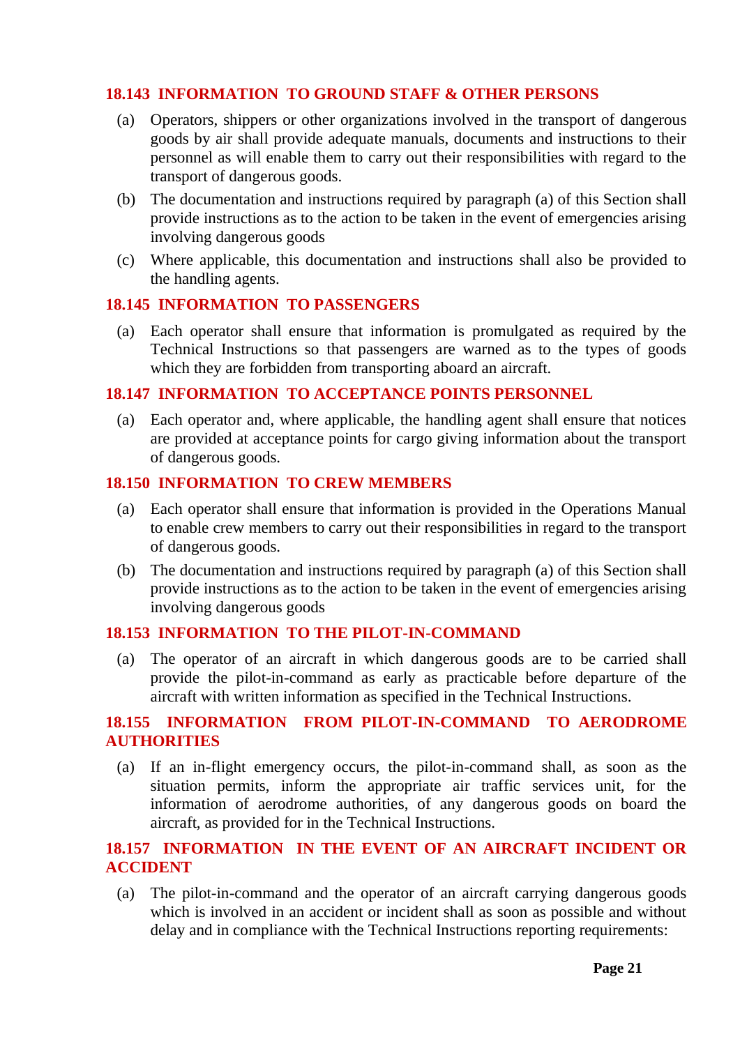## <span id="page-20-0"></span>**18.143 INFORMATION TO GROUND STAFF & OTHER PERSONS**

- (a) Operators, shippers or other organizations involved in the transport of dangerous goods by air shall provide adequate manuals, documents and instructions to their personnel as will enable them to carry out their responsibilities with regard to the transport of dangerous goods.
- (b) The documentation and instructions required by paragraph (a) of this Section shall provide instructions as to the action to be taken in the event of emergencies arising involving dangerous goods
- (c) Where applicable, this documentation and instructions shall also be provided to the handling agents.

#### <span id="page-20-1"></span>**18.145 INFORMATION TO PASSENGERS**

(a) Each operator shall ensure that information is promulgated as required by the Technical Instructions so that passengers are warned as to the types of goods which they are forbidden from transporting aboard an aircraft.

#### <span id="page-20-2"></span>**18.147 INFORMATION TO ACCEPTANCE POINTS PERSONNEL**

(a) Each operator and, where applicable, the handling agent shall ensure that notices are provided at acceptance points for cargo giving information about the transport of dangerous goods.

#### <span id="page-20-3"></span>**18.150 INFORMATION TO CREW MEMBERS**

- (a) Each operator shall ensure that information is provided in the Operations Manual to enable crew members to carry out their responsibilities in regard to the transport of dangerous goods.
- (b) The documentation and instructions required by paragraph (a) of this Section shall provide instructions as to the action to be taken in the event of emergencies arising involving dangerous goods

#### <span id="page-20-4"></span>**18.153 INFORMATION TO THE PILOT-IN-COMMAND**

(a) The operator of an aircraft in which dangerous goods are to be carried shall provide the pilot-in-command as early as practicable before departure of the aircraft with written information as specified in the Technical Instructions.

## <span id="page-20-5"></span>**18.155 INFORMATION FROM PILOT-IN-COMMAND TO AERODROME AUTHORITIES**

(a) If an in-flight emergency occurs, the pilot-in-command shall, as soon as the situation permits, inform the appropriate air traffic services unit, for the information of aerodrome authorities, of any dangerous goods on board the aircraft, as provided for in the Technical Instructions.

## <span id="page-20-6"></span>**18.157 INFORMATION IN THE EVENT OF AN AIRCRAFT INCIDENT OR ACCIDENT**

(a) The pilot-in-command and the operator of an aircraft carrying dangerous goods which is involved in an accident or incident shall as soon as possible and without delay and in compliance with the Technical Instructions reporting requirements: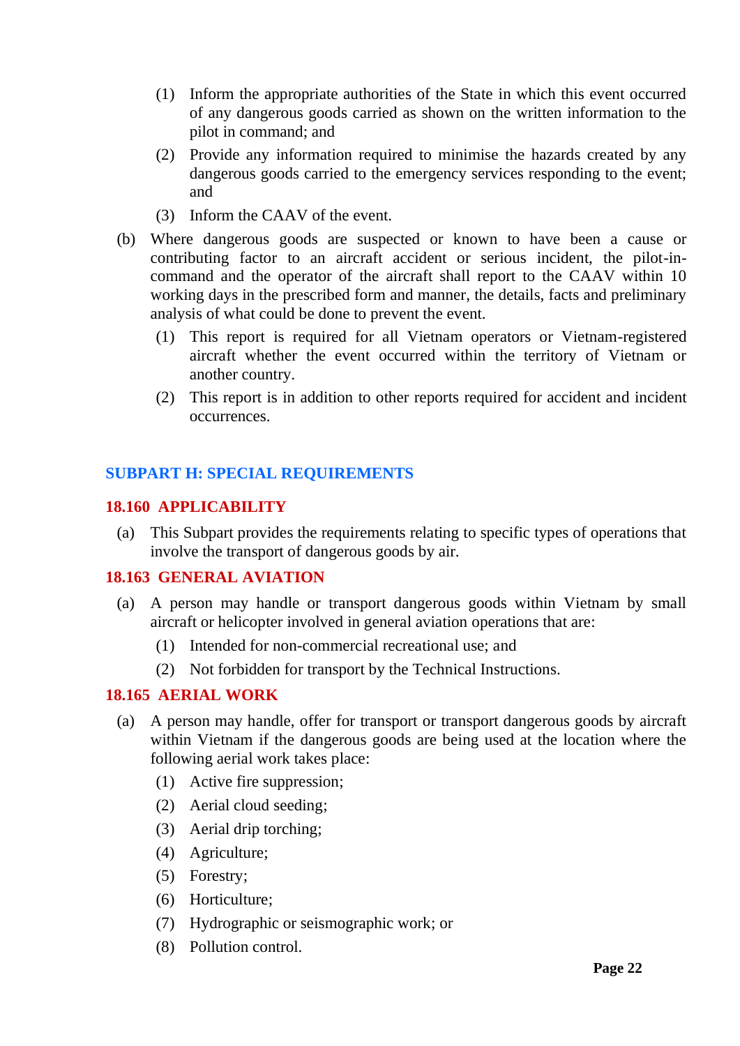- (1) Inform the appropriate authorities of the State in which this event occurred of any dangerous goods carried as shown on the written information to the pilot in command; and
- (2) Provide any information required to minimise the hazards created by any dangerous goods carried to the emergency services responding to the event; and
- (3) Inform the CAAV of the event.
- (b) Where dangerous goods are suspected or known to have been a cause or contributing factor to an aircraft accident or serious incident, the pilot-incommand and the operator of the aircraft shall report to the CAAV within 10 working days in the prescribed form and manner, the details, facts and preliminary analysis of what could be done to prevent the event.
	- (1) This report is required for all Vietnam operators or Vietnam-registered aircraft whether the event occurred within the territory of Vietnam or another country.
	- (2) This report is in addition to other reports required for accident and incident occurrences.

# <span id="page-21-0"></span>**SUBPART H: SPECIAL REQUIREMENTS**

#### <span id="page-21-1"></span>**18.160 APPLICABILITY**

(a) This Subpart provides the requirements relating to specific types of operations that involve the transport of dangerous goods by air.

#### <span id="page-21-2"></span>**18.163 GENERAL AVIATION**

- (a) A person may handle or transport dangerous goods within Vietnam by small aircraft or helicopter involved in general aviation operations that are:
	- (1) Intended for non-commercial recreational use; and
	- (2) Not forbidden for transport by the Technical Instructions.

## <span id="page-21-3"></span>**18.165 AERIAL WORK**

- (a) A person may handle, offer for transport or transport dangerous goods by aircraft within Vietnam if the dangerous goods are being used at the location where the following aerial work takes place:
	- (1) Active fire suppression;
	- (2) Aerial cloud seeding;
	- (3) Aerial drip torching;
	- (4) Agriculture;
	- (5) Forestry;
	- (6) Horticulture;
	- (7) Hydrographic or seismographic work; or
	- (8) Pollution control.